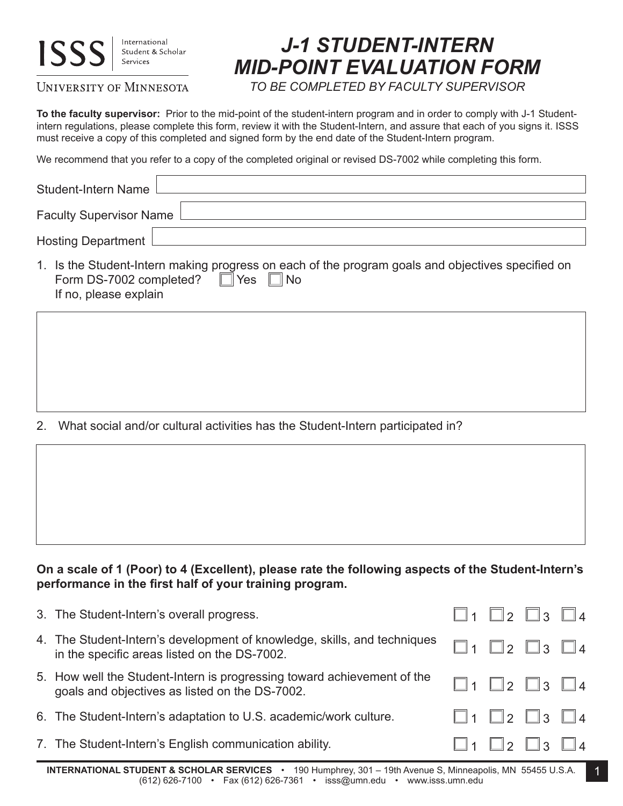## **ISS**

International Student & Scholar Services

## UNIVERSITY OF MINNESOTA

## *J-1 STUDENT-INTERN MID-POINT EVALUATION FORM*

*TO BE COMPLETED BY FACULTY SUPERVISOR*

**To the faculty supervisor:** Prior to the mid-point of the student-intern program and in order to comply with J-1 Studentintern regulations, please complete this form, review it with the Student-Intern, and assure that each of you signs it. ISSS must receive a copy of this completed and signed form by the end date of the Student-Intern program.

We recommend that you refer to a copy of the completed original or revised DS-7002 while completing this form.

| Student-Intern Name               |                                                                                                               |  |  |
|-----------------------------------|---------------------------------------------------------------------------------------------------------------|--|--|
| Faculty Supervisor Name $\lfloor$ |                                                                                                               |  |  |
| Hosting Department $\lfloor$      |                                                                                                               |  |  |
|                                   | the lates Other than the constitution and according the different contracts and alternative and difficult and |  |  |

1. Is the Student-Intern making progress on each of the program goals and objectives specified on Form DS-7002 completed?  $\Box$  Yes  $\Box$  No If no, please explain

2. What social and/or cultural activities has the Student-Intern participated in?

**On a scale of 1 (Poor) to 4 (Excellent), please rate the following aspects of the Student-Intern's performance in the first half of your training program.**

| 3. The Student-Intern's overall progress.                                                                                 | $\Box$ 1 $\Box$ 2 $\Box$ 3 $\Box$ 4 |  |
|---------------------------------------------------------------------------------------------------------------------------|-------------------------------------|--|
| 4. The Student-Intern's development of knowledge, skills, and techniques<br>in the specific areas listed on the DS-7002.  | $\Box$ 1 $\Box$ 2 $\Box$ 3 $\Box$ 4 |  |
| 5. How well the Student-Intern is progressing toward achievement of the<br>goals and objectives as listed on the DS-7002. | $\Box$ 1 $\Box$ 2 $\Box$ 3 $\Box$ 4 |  |
| 6. The Student-Intern's adaptation to U.S. academic/work culture.                                                         | $\Box$ 1 $\Box$ 2 $\Box$ 3 $\Box$ 4 |  |
| 7. The Student-Intern's English communication ability.                                                                    | $\Box$ 1 $\Box$ 2 $\Box$ 3 $\Box$ 4 |  |

**INTERNATIONAL STUDENT & SCHOLAR SERVICES** • 190 Humphrey, 301 – 19th Avenue S, Minneapolis, MN 55455 U.S.A. (612) 626-7100 • Fax (612) 626-7361 • isss@umn.edu • www.isss.umn.edu